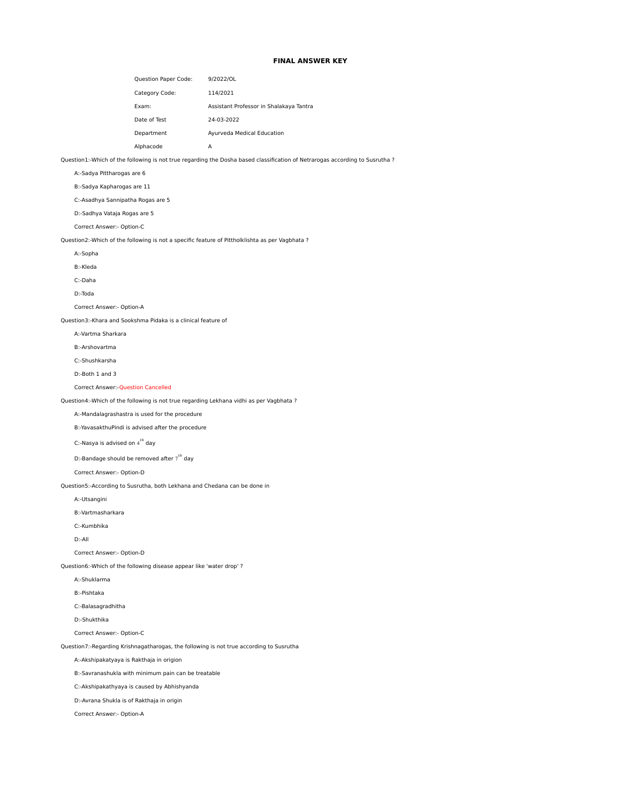## **FINAL ANSWER KEY**

|              | <b>Question Paper Code:</b> | 9/2022/OL                               |
|--------------|-----------------------------|-----------------------------------------|
|              | Category Code:              | 114/2021                                |
| Exam:        |                             | Assistant Professor in Shalakaya Tantra |
| Date of Test |                             | 24-03-2022                              |
| Department   |                             | Ayurveda Medical Education              |
| Alphacode    |                             | А                                       |

Question1:-Which of the following is not true regarding the Dosha based classification of Netrarogas according to Susrutha ?

A:-Sadya Pittharogas are 6

B:-Sadya Kapharogas are 11

C:-Asadhya Sannipatha Rogas are 5

D:-Sadhya Vataja Rogas are 5

Correct Answer:- Option-C

Question2:-Which of the following is not a specific feature of Pittholklishta as per Vagbhata ?

A:-Sopha

B:-Kleda

C:-Daha

D:-Toda

Correct Answer:- Option-A

Question3:-Khara and Sookshma Pidaka is a clinical feature of

A:-Vartma Sharkara

B:-Arshovartma

C:-Shushkarsha

D:-Both 1 and 3

Correct Answer:-Question Cancelled

Question4:-Which of the following is not true regarding Lekhana vidhi as per Vagbhata ?

A:-Mandalagrashastra is used for the procedure

B:-YavasakthuPindi is advised after the procedure

C:-Nasya is advised on  $4^{th}$  day

D:-Bandage should be removed after  $7^{th}$  day

Correct Answer:- Option-D

Question5:-According to Susrutha, both Lekhana and Chedana can be done in

A:-Utsangini

B:-Vartmasharkara

C:-Kumbhika

D:-All

Correct Answer:- Option-D

Question6:-Which of the following disease appear like 'water drop' ?

A:-Shuklarma

B:-Pishtaka

C:-Balasagradhitha

D:-Shukthika

Correct Answer:- Option-C

Question7:-Regarding Krishnagatharogas, the following is not true according to Susrutha

A:-Akshipakatyaya is Rakthaja in origion

B:-Savranashukla with minimum pain can be treatable

C:-Akshipakathyaya is caused by Abhishyanda

D:-Avrana Shukla is of Rakthaja in origin

Correct Answer:- Option-A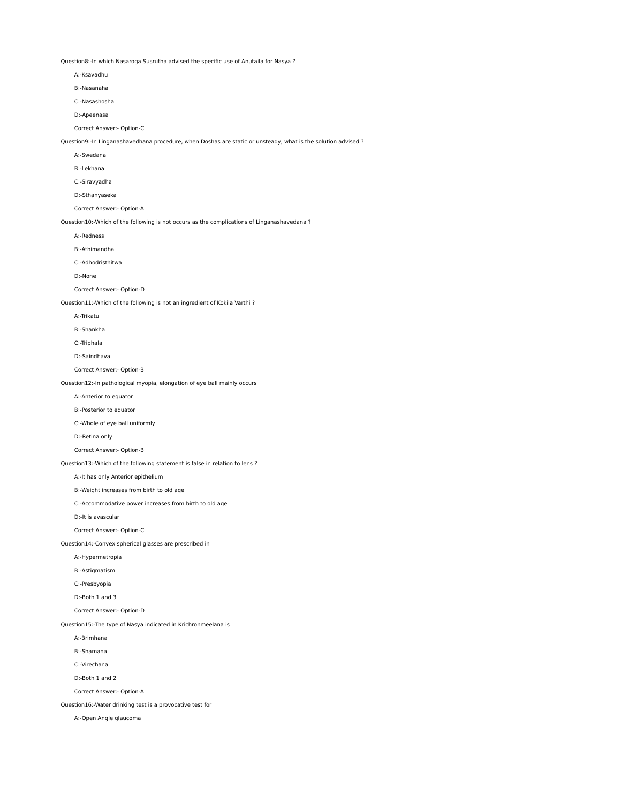Question8:-In which Nasaroga Susrutha advised the specific use of Anutaila for Nasya ?

A:-Ksavadhu

B:-Nasanaha

C:-Nasashosha

D:-Apeenasa

Correct Answer:- Option-C

Question9:-In Linganashavedhana procedure, when Doshas are static or unsteady, what is the solution advised ?

A:-Swedana

B:-Lekhana

C:-Siravyadha

D:-Sthanyaseka

Correct Answer:- Option-A

Question10:-Which of the following is not occurs as the complications of Linganashavedana ?

A:-Redness

B:-Athimandha

C:-Adhodristhitwa

D:-None

Correct Answer:- Option-D

Question11:-Which of the following is not an ingredient of Kokila Varthi ?

A:-Trikatu

B:-Shankha

C:-Triphala

D:-Saindhava

Correct Answer:- Option-B

Question12:-In pathological myopia, elongation of eye ball mainly occurs

A:-Anterior to equator

B:-Posterior to equator

C:-Whole of eye ball uniformly

D:-Retina only

Correct Answer:- Option-B

Question13:-Which of the following statement is false in relation to lens ?

A:-It has only Anterior epithelium

B:-Weight increases from birth to old age

C:-Accommodative power increases from birth to old age

D:-It is avascular

Correct Answer:- Option-C

Question14:-Convex spherical glasses are prescribed in

A:-Hypermetropia

B:-Astigmatism

C:-Presbyopia

D:-Both 1 and 3

Correct Answer:- Option-D

Question15:-The type of Nasya indicated in Krichronmeelana is

A:-Brimhana

B:-Shamana

C:-Virechana

D:-Both 1 and 2

Correct Answer:- Option-A

Question16:-Water drinking test is a provocative test for

A:-Open Angle glaucoma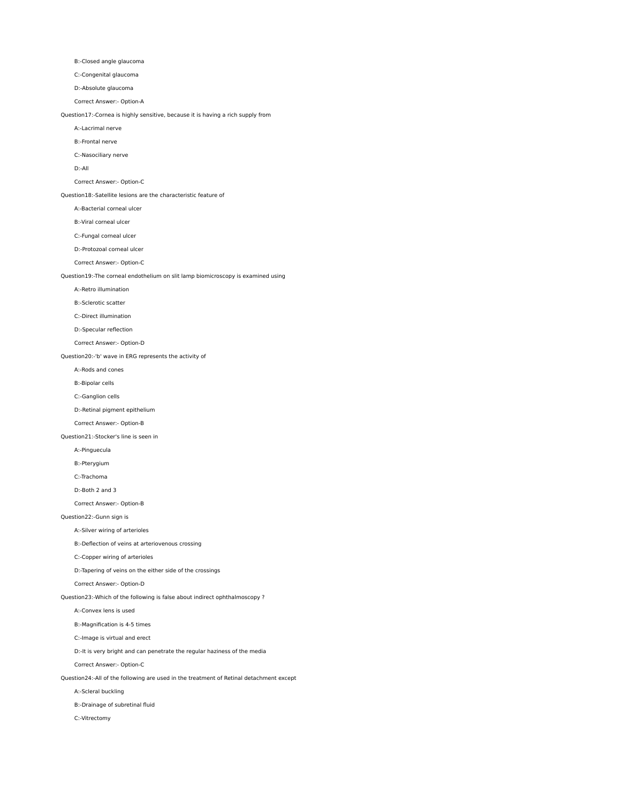B:-Closed angle glaucoma

C:-Congenital glaucoma

D:-Absolute glaucoma

Correct Answer:- Option-A

Question17:-Cornea is highly sensitive, because it is having a rich supply from

A:-Lacrimal nerve

B:-Frontal nerve

C:-Nasociliary nerve

D:-All

Correct Answer:- Option-C

Question18:-Satellite lesions are the characteristic feature of

A:-Bacterial corneal ulcer

B:-Viral corneal ulcer

C:-Fungal corneal ulcer

D:-Protozoal corneal ulcer

Correct Answer:- Option-C

Question19:-The corneal endothelium on slit lamp biomicroscopy is examined using

A:-Retro illumination

B:-Sclerotic scatter

C:-Direct illumination

D:-Specular reflection

Correct Answer:- Option-D

Question20:-'b' wave in ERG represents the activity of

A:-Rods and cones

B:-Bipolar cells

C:-Ganglion cells

D:-Retinal pigment epithelium

Correct Answer:- Option-B

Question21:-Stocker's line is seen in

A:-Pinguecula

B:-Pterygium

C:-Trachoma

D:-Both 2 and 3

Correct Answer:- Option-B

Question22:-Gunn sign is

A:-Silver wiring of arterioles

B:-Deflection of veins at arteriovenous crossing

C:-Copper wiring of arterioles

D:-Tapering of veins on the either side of the crossings

Correct Answer:- Option-D

Question23:-Which of the following is false about indirect ophthalmoscopy ?

A:-Convex lens is used

B:-Magnification is 4-5 times

C:-Image is virtual and erect

D:-It is very bright and can penetrate the regular haziness of the media

Correct Answer:- Option-C

Question24:-All of the following are used in the treatment of Retinal detachment except

A:-Scleral buckling

B:-Drainage of subretinal fluid

C:-Vitrectomy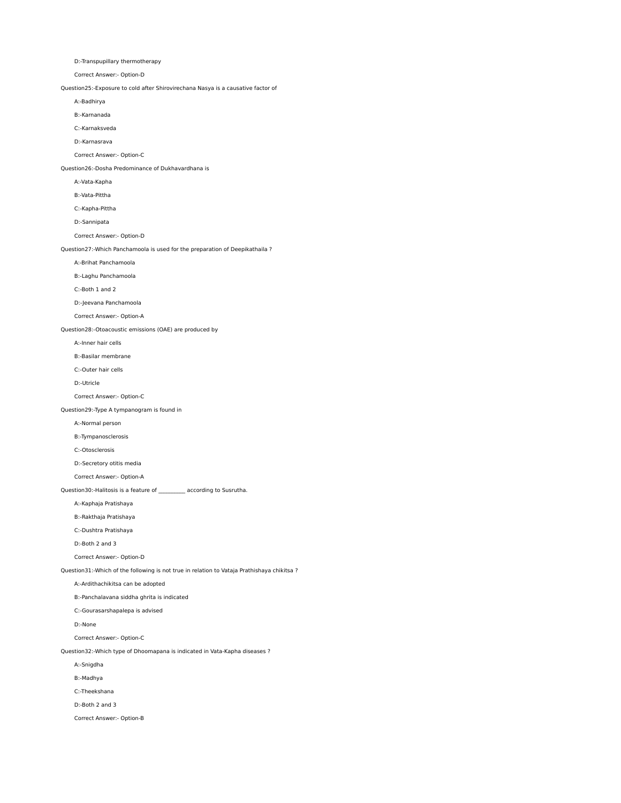D:-Transpupillary thermotherapy

Correct Answer:- Option-D

Question25:-Exposure to cold after Shirovirechana Nasya is a causative factor of

A:-Badhirya

B:-Karnanada

C:-Karnaksveda

D:-Karnasrava

Correct Answer:- Option-C

Question26:-Dosha Predominance of Dukhavardhana is

A:-Vata-Kapha

B:-Vata-Pittha

C:-Kapha-Pittha

D:-Sannipata

Correct Answer:- Option-D

Question27:-Which Panchamoola is used for the preparation of Deepikathaila ?

A:-Brihat Panchamoola

B:-Laghu Panchamoola

C:-Both 1 and 2

D:-Jeevana Panchamoola

Correct Answer:- Option-A

Question28:-Otoacoustic emissions (OAE) are produced by

A:-Inner hair cells

B:-Basilar membrane

C:-Outer hair cells

D:-Utricle

Correct Answer:- Option-C

Question29:-Type A tympanogram is found in

A:-Normal person

B:-Tympanosclerosis

C:-Otosclerosis

D:-Secretory otitis media

Correct Answer:- Option-A

Question30:-Halitosis is a feature of \_\_\_\_\_\_\_\_\_\_ according to Susrutha.

A:-Kaphaja Pratishaya

B:-Rakthaja Pratishaya

C:-Dushtra Pratishaya

D:-Both 2 and 3

Correct Answer:- Option-D

Question31:-Which of the following is not true in relation to Vataja Prathishaya chikitsa ?

A:-Ardithachikitsa can be adopted

B:-Panchalavana siddha ghrita is indicated

C:-Gourasarshapalepa is advised

D:-None

Correct Answer:- Option-C

Question32:-Which type of Dhoomapana is indicated in Vata-Kapha diseases ?

A:-Snigdha

B:-Madhya

C:-Theekshana

D:-Both 2 and 3

Correct Answer:- Option-B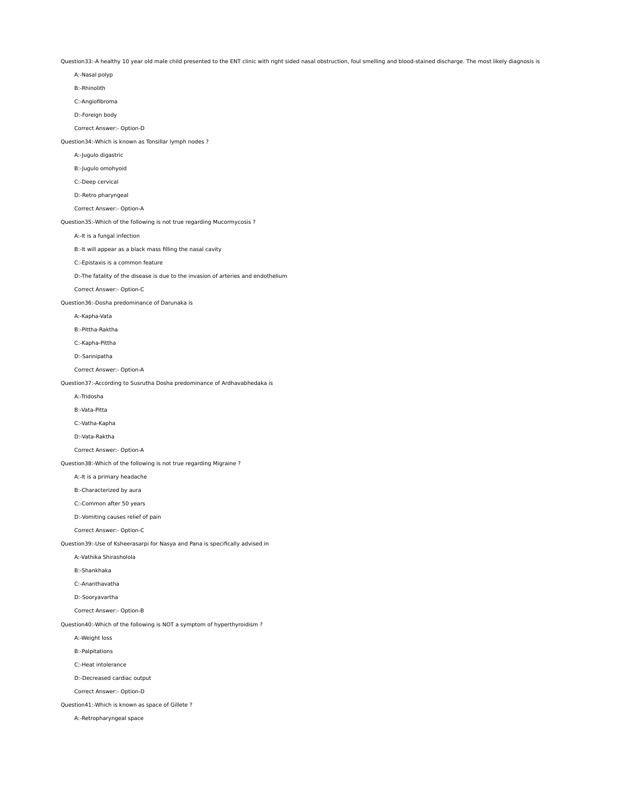Question33:-A healthy 10 year old male child presented to the ENT clinic with right sided nasal obstruction, foul smelling and blood-stained discharge. The most likely diagnosis is

| A:-Nasal polyp                                                                    |
|-----------------------------------------------------------------------------------|
| B:-Rhinolith                                                                      |
| C:-Angiofibroma                                                                   |
| D:-Foreign body                                                                   |
| Correct Answer:- Option-D                                                         |
| Question34:-Which is known as Tonsillar lymph nodes ?                             |
| A:-Jugulo digastric                                                               |
| B:-Jugulo omohyoid                                                                |
| C:-Deep cervical                                                                  |
| D:-Retro pharyngeal                                                               |
| Correct Answer:- Option-A                                                         |
| Question35:-Which of the following is not true regarding Mucormycosis ?           |
| A:-It is a fungal infection                                                       |
| B:- It will appear as a black mass filling the nasal cavity                       |
| C:-Epistaxis is a common feature                                                  |
| D:-The fatality of the disease is due to the invasion of arteries and endothelium |
| Correct Answer:- Option-C                                                         |
| Question36:-Dosha predominance of Darunaka is                                     |
| A:-Kapha-Vata                                                                     |
| B:-Pittha-Raktha                                                                  |
| C:-Kapha-Pittha                                                                   |
| D:-Sannipatha                                                                     |
| Correct Answer:- Option-A                                                         |
| Question37:-According to Susrutha Dosha predominance of Ardhavabhedaka is         |
| A:-Tridosha                                                                       |
| B:-Vata-Pitta                                                                     |
| C:-Vatha-Kapha                                                                    |
| D:-Vata-Raktha                                                                    |
| Correct Answer:- Option-A                                                         |
| Question38:-Which of the following is not true regarding Migraine ?               |
| A:- It is a primary headache                                                      |
| B:-Characterized by aura                                                          |
| C:-Common after 50 years                                                          |
| D:-Vomiting causes relief of pain                                                 |
| Correct Answer:- Option-C                                                         |
| Question39:-Use of Ksheerasarpi for Nasya and Pana is specifically advised in     |
| A:-Vathika Shirasholola                                                           |
| B:-Shankhaka                                                                      |
| C:-Ananthavatha                                                                   |
| D:-Sooryavartha                                                                   |
| Correct Answer:- Option-B                                                         |
| Question40:-Which of the following is NOT a symptom of hyperthyroidism ?          |
| A:-Weight loss                                                                    |
| <b>B:-Palpitations</b>                                                            |
| C:-Heat intolerance                                                               |
| D:-Decreased cardiac output                                                       |
| Correct Answer:- Option-D                                                         |
| Question41:-Which is known as space of Gillete ?                                  |
| A:-Retropharyngeal space                                                          |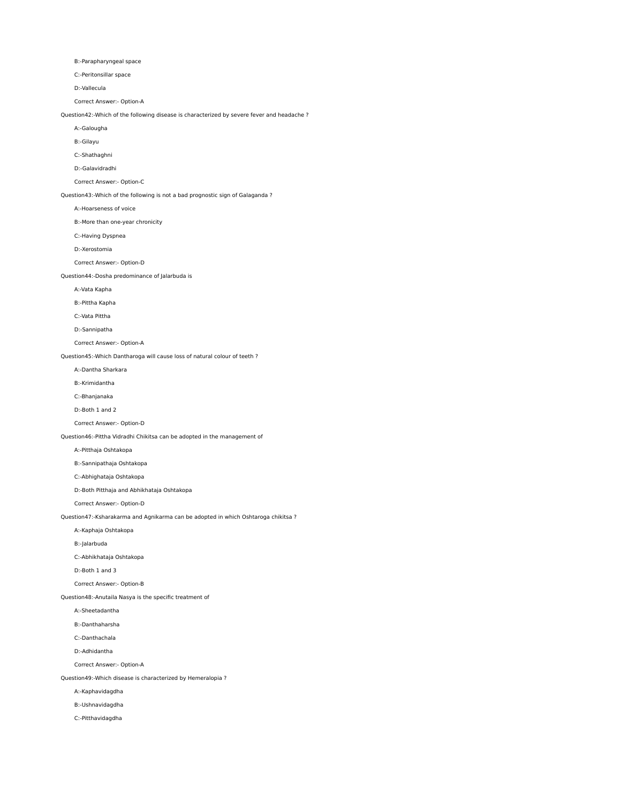B:-Parapharyngeal space

C:-Peritonsillar space

D:-Vallecula

Correct Answer:- Option-A

Question42:-Which of the following disease is characterized by severe fever and headache ?

A:-Galougha

B:-Gilayu

C:-Shathaghni

D:-Galavidradhi

Correct Answer:- Option-C

Question43:-Which of the following is not a bad prognostic sign of Galaganda ?

A:-Hoarseness of voice

B:-More than one-year chronicity

C:-Having Dyspnea

D:-Xerostomia

Correct Answer:- Option-D

Question44:-Dosha predominance of Jalarbuda is

A:-Vata Kapha

B:-Pittha Kapha

C:-Vata Pittha

D:-Sannipatha

Correct Answer:- Option-A

Question45:-Which Dantharoga will cause loss of natural colour of teeth ?

A:-Dantha Sharkara

B:-Krimidantha

C:-Bhanjanaka

D:-Both 1 and 2

Correct Answer:- Option-D

Question46:-Pittha Vidradhi Chikitsa can be adopted in the management of

A:-Pitthaja Oshtakopa

B:-Sannipathaja Oshtakopa

C:-Abhighataja Oshtakopa

D:-Both Pitthaja and Abhikhataja Oshtakopa

Correct Answer:- Option-D

Question47:-Ksharakarma and Agnikarma can be adopted in which Oshtaroga chikitsa ?

A:-Kaphaja Oshtakopa

B:-Jalarbuda

C:-Abhikhataja Oshtakopa

D:-Both 1 and 3

Correct Answer:- Option-B

Question48:-Anutaila Nasya is the specific treatment of

A:-Sheetadantha

B:-Danthaharsha

C:-Danthachala

D:-Adhidantha

Correct Answer:- Option-A

Question49:-Which disease is characterized by Hemeralopia ?

A:-Kaphavidagdha

B:-Ushnavidagdha

C:-Pitthavidagdha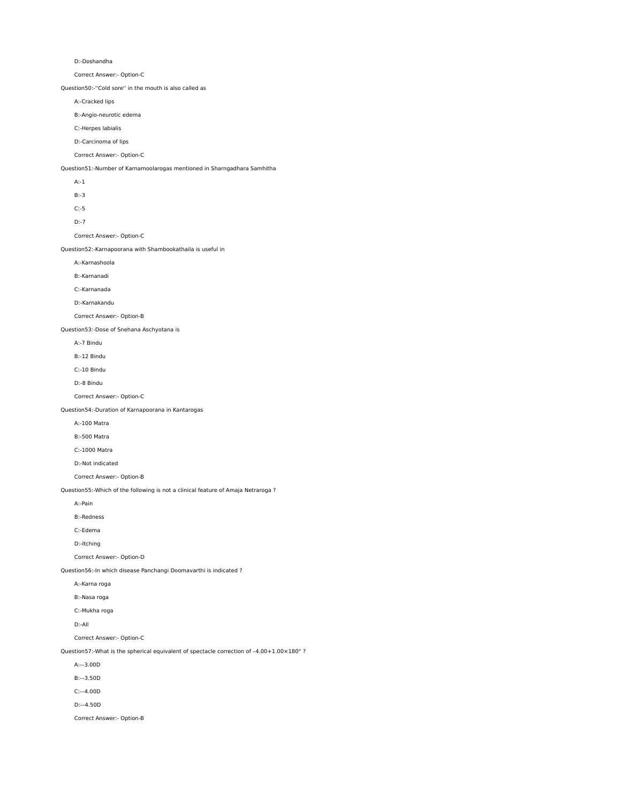```
        D:-Doshandha
```
Correct Answer:- Option-C

Question50:-''Cold sore'' in the mouth is also called as

A:-Cracked lips

B:-Angio-neurotic edema

C:-Herpes labialis

D:-Carcinoma of lips

Correct Answer:- Option-C

Question51:-Number of Karnamoolarogas mentioned in Sharngadhara Samhitha

| Question51:-Number of Karnamoolarogas mentioned in Sharngadhara Samhitha         |
|----------------------------------------------------------------------------------|
| $A:-1$                                                                           |
| $B:-3$                                                                           |
| $C: -5$                                                                          |
| $D:-7$                                                                           |
| Correct Answer:- Option-C                                                        |
| Question52:-Karnapoorana with Shambookathaila is useful in                       |
| A:-Karnashoola                                                                   |
| B:-Karnanadi                                                                     |
| C:-Karnanada                                                                     |
| D:-Karnakandu                                                                    |
| Correct Answer:- Option-B                                                        |
| Question53:-Dose of Snehana Aschyotana is                                        |
| A:-7 Bindu                                                                       |
| B:-12 Bindu                                                                      |
| C:-10 Bindu                                                                      |
| D:-8 Bindu                                                                       |
| Correct Answer:- Option-C                                                        |
| Question54:-Duration of Karnapoorana in Kantarogas                               |
| A:-100 Matra                                                                     |
| <b>B:-500 Matra</b>                                                              |
| C:-1000 Matra                                                                    |
| D:-Not indicated                                                                 |
| Correct Answer:- Option-B                                                        |
| Question55:-Which of the following is not a clinical feature of Amaja Netraroga? |
| A:-Pain                                                                          |
| <b>B:-Redness</b>                                                                |
| C:-Edema                                                                         |
| D:-Itching                                                                       |

Correct Answer:- Option-D

Question56:-In which disease Panchangi Doomavarthi is indicated ?

A:-Karna roga

B:-Nasa roga

C:-Mukha roga

D:-All

Correct Answer:- Option-C

Question57:-What is the spherical equivalent of spectacle correction of –4.00+1.00×180° ?

A:-–3.00D

B:-–3.50D

C:-–4.00D

D:-–4.50D

Correct Answer:- Option-B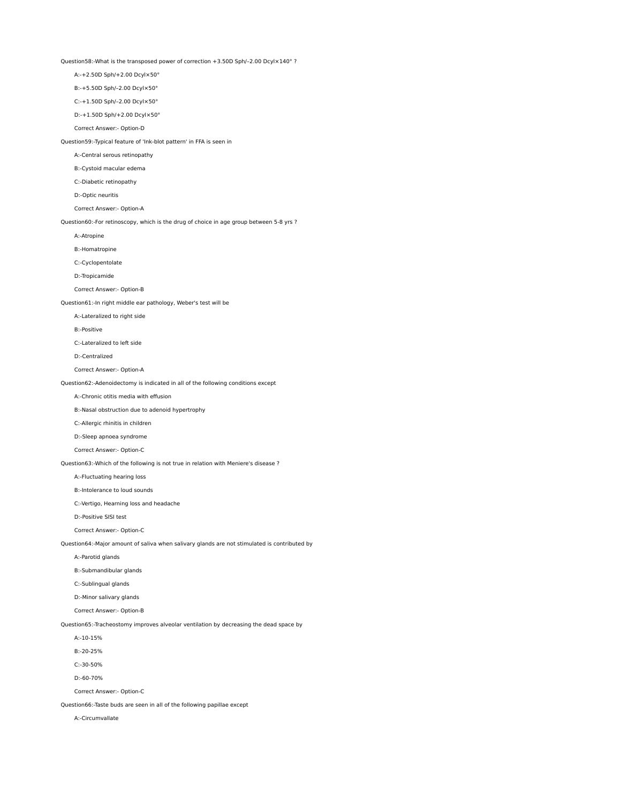Question58:-What is the transposed power of correction +3.50D Sph/–2.00 Dcyl×140° ?

A:-+2.50D Sph/+2.00 Dcyl×50°

B:-+5.50D Sph/–2.00 Dcyl×50°

C:-+1.50D Sph/–2.00 Dcyl×50°

D:-+1.50D Sph/+2.00 Dcyl×50°

Correct Answer:- Option-D

Question59:-Typical feature of 'Ink-blot pattern' in FFA is seen in

A:-Central serous retinopathy

B:-Cystoid macular edema

C:-Diabetic retinopathy

D:-Optic neuritis

Correct Answer:- Option-A

Question60:-For retinoscopy, which is the drug of choice in age group between 5-8 yrs ?

A:-Atropine

B:-Homatropine

C:-Cyclopentolate

D:-Tropicamide

Correct Answer:- Option-B

Question61:-In right middle ear pathology, Weber's test will be

A:-Lateralized to right side

B:-Positive

C:-Lateralized to left side

D:-Centralized

Correct Answer:- Option-A

Question62:-Adenoidectomy is indicated in all of the following conditions except

A:-Chronic otitis media with effusion

B:-Nasal obstruction due to adenoid hypertrophy

C:-Allergic rhinitis in children

D:-Sleep apnoea syndrome

Correct Answer:- Option-C

Question63:-Which of the following is not true in relation with Meniere's disease ?

A:-Fluctuating hearing loss

B:-Intolerance to loud sounds

C:-Vertigo, Hearning loss and headache

D:-Positive SISI test

Correct Answer:- Option-C

Question64:-Major amount of saliva when salivary glands are not stimulated is contributed by

A:-Parotid glands

B:-Submandibular glands

C:-Sublingual glands

D:-Minor salivary glands

Correct Answer:- Option-B

Question65:-Tracheostomy improves alveolar ventilation by decreasing the dead space by

A:-10-15%

B:-20-25%

C:-30-50%

D:-60-70%

Correct Answer:- Option-C

Question66:-Taste buds are seen in all of the following papillae except

A:-Circumvallate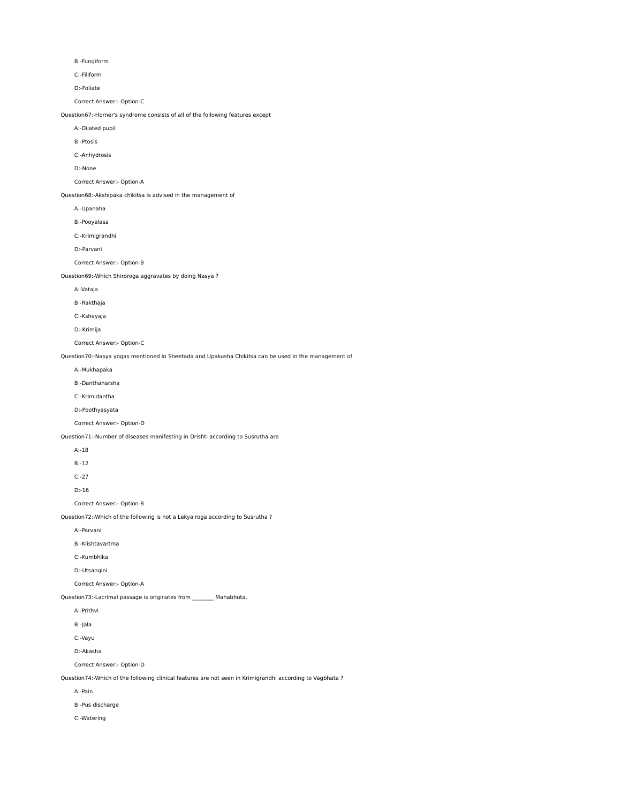B:-Fungiform

C:-Filiform

D:-Foliate

Correct Answer:- Option-C

Question67:-Horner's syndrome consists of all of the following features except

A:-Dilated pupil

B:-Ptosis

C:-Anhydrosis

D:-None

Correct Answer:- Option-A

Question68:-Akshipaka chikitsa is advised in the management of

A:-Upanaha

B:-Pooyalasa

C:-Krimigrandhi

D:-Parvani

Correct Answer:- Option-B

Question69:-Which Shiroroga aggravates by doing Nasya ?

A:-Vataja

B:-Rakthaja

C:-Kshayaja

D:-Krimija

Correct Answer:- Option-C

Question70:-Nasya yogas mentioned in Sheetada and Upakusha Chikitsa can be used in the management of

A:-Mukhapaka

B:-Danthaharsha

C:-Krimidantha

D:-Poothyasyata

Correct Answer:- Option-D

Question71:-Number of diseases manifesting in Drishti according to Susrutha are

| $A: -18$ |
|----------|
| $B: -12$ |
| $C: -27$ |

D:-16

Correct Answer:- Option-B

Question72:-Which of the following is not a Lekya roga according to Susrutha ?

A:-Parvani

B:-Klishtavartma

C:-Kumbhika

D:-Utsangini

Correct Answer:- Option-A

Question73:-Lacrimal passage is originates from \_\_\_\_\_\_\_\_ Mahabhuta.

 A:-Prithvi B:-Jala C:-Vayu D:-Akasha Correct Answer:- Option-D

Question74:-Which of the following clinical features are not seen in Krimigrandhi according to Vagbhata ?

A:-Pain

B:-Pus discharge

C:-Watering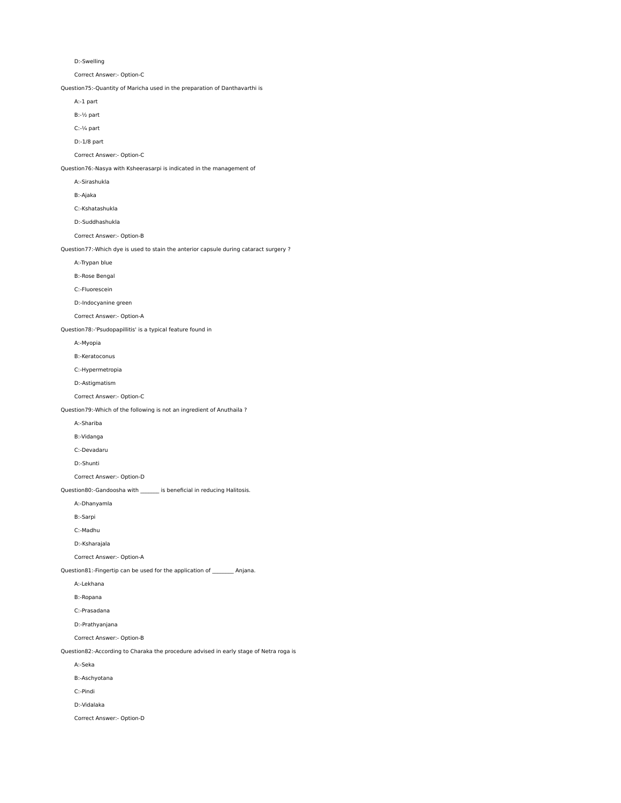```
        D:-Swelling
```
Correct Answer:- Option-C

Question75:-Quantity of Maricha used in the preparation of Danthavarthi is

A:-1 part

B:-½ part

C:-¼ part

D:-1/8 part

Correct Answer:- Option-C

Question76:-Nasya with Ksheerasarpi is indicated in the management of

A:-Sirashukla

B:-Ajaka

C:-Kshatashukla

D:-Suddhashukla

Correct Answer:- Option-B

Question77:-Which dye is used to stain the anterior capsule during cataract surgery ?

A:-Trypan blue

B:-Rose Bengal

C:-Fluorescein

D:-Indocyanine green

Correct Answer:- Option-A

Question78:-'Psudopapillitis' is a typical feature found in

A:-Myopia

B:-Keratoconus

C:-Hypermetropia

D:-Astigmatism

Correct Answer:- Option-C

Question79:-Which of the following is not an ingredient of Anuthaila ?

A:-Shariba

B:-Vidanga

C:-Devadaru

D:-Shunti

Correct Answer:- Option-D

Question80:-Gandoosha with \_\_\_\_\_\_ is beneficial in reducing Halitosis.

A:-Dhanyamla

B:-Sarpi

C:-Madhu

D:-Ksharajala

Correct Answer:- Option-A

Question81:-Fingertip can be used for the application of \_\_\_\_\_\_\_\_ Anjana.

A:-Lekhana

B:-Ropana

C:-Prasadana

D:-Prathyanjana

Correct Answer:- Option-B

Question82:-According to Charaka the procedure advised in early stage of Netra roga is

A:-Seka

B:-Aschyotana

C:-Pindi

D:-Vidalaka

Correct Answer:- Option-D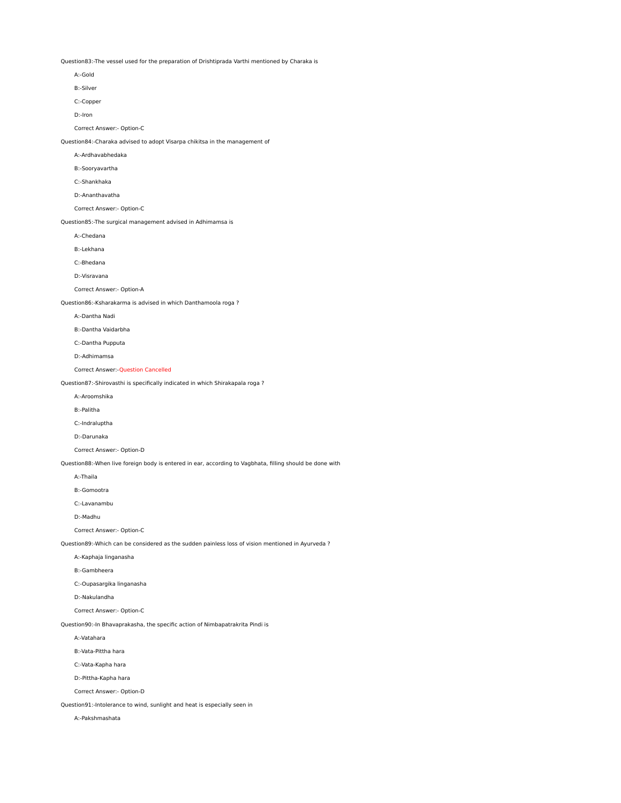Question83:-The vessel used for the preparation of Drishtiprada Varthi mentioned by Charaka is

 A:-Gold B:-Silver C:-Copper D:-Iron Correct Answer:- Option-C Question84:-Charaka advised to adopt Visarpa chikitsa in the management of A:-Ardhavabhedaka B:-Sooryavartha C:-Shankhaka D:-Ananthavatha Correct Answer:- Option-C Question85:-The surgical management advised in Adhimamsa is A:-Chedana B:-Lekhana C:-Bhedana D:-Visravana Correct Answer:- Option-A Question86:-Ksharakarma is advised in which Danthamoola roga ? A:-Dantha Nadi B:-Dantha Vaidarbha C:-Dantha Pupputa D:-Adhimamsa Correct Answer:-Question Cancelled Question87:-Shirovasthi is specifically indicated in which Shirakapala roga ? A:-Aroomshika B:-Palitha C:-Indraluptha D:-Darunaka Correct Answer:- Option-D Question88:-When live foreign body is entered in ear, according to Vagbhata, filling should be done with A:-Thaila B:-Gomootra C:-Lavanambu D:-Madhu Correct Answer:- Option-C Question89:-Which can be considered as the sudden painless loss of vision mentioned in Ayurveda ? A:-Kaphaja linganasha B:-Gambheera C:-Oupasargika linganasha D:-Nakulandha Correct Answer:- Option-C Question90:-In Bhavaprakasha, the specific action of Nimbapatrakrita Pindi is

A:-Vatahara

B:-Vata-Pittha hara

C:-Vata-Kapha hara

D:-Pittha-Kapha hara

Correct Answer:- Option-D

Question91:-Intolerance to wind, sunlight and heat is especially seen in

A:-Pakshmashata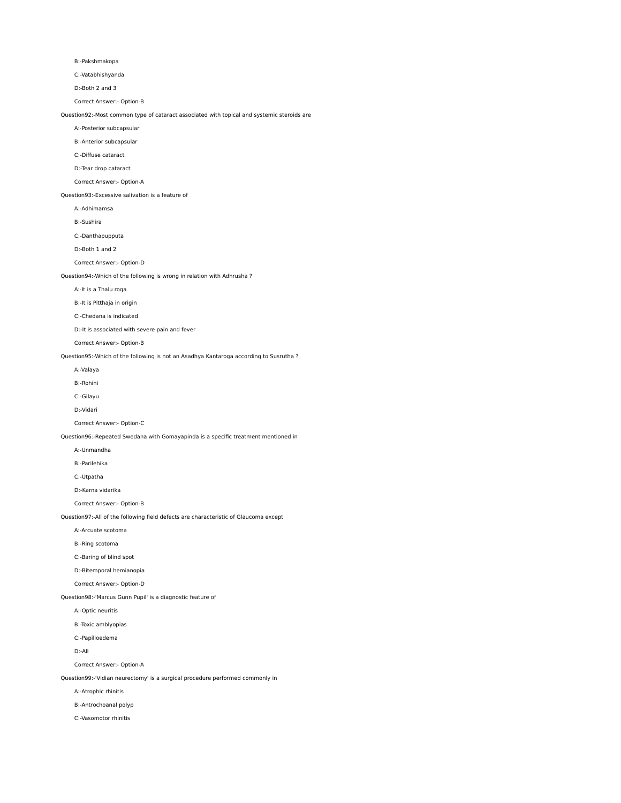B:-Pakshmakopa

C:-Vatabhishyanda

D:-Both 2 and 3

Correct Answer:- Option-B

Question92:-Most common type of cataract associated with topical and systemic steroids are

## A:-Posterior subcapsular

B:-Anterior subcapsular

C:-Diffuse cataract

D:-Tear drop cataract

## Correct Answer:- Option-A

Question93:-Excessive salivation is a feature of

A:-Adhimamsa

B:-Sushira

C:-Danthapupputa

D:-Both 1 and 2

Correct Answer:- Option-D

Question94:-Which of the following is wrong in relation with Adhrusha ?

A:-It is a Thalu roga

B:-It is Pitthaja in origin

C:-Chedana is indicated

D:-It is associated with severe pain and fever

Correct Answer:- Option-B

Question95:-Which of the following is not an Asadhya Kantaroga according to Susrutha ?

A:-Valaya

B:-Rohini

C:-Gilayu

D:-Vidari

Correct Answer:- Option-C

Question96:-Repeated Swedana with Gomayapinda is a specific treatment mentioned in

A:-Unmandha

B:-Parilehika

C:-Utpatha

D:-Karna vidarika

Correct Answer:- Option-B

Question97:-All of the following field defects are characteristic of Glaucoma except

A:-Arcuate scotoma

B:-Ring scotoma

C:-Baring of blind spot

D:-Bitemporal hemianopia

Correct Answer:- Option-D

Question98:-'Marcus Gunn Pupil' is a diagnostic feature of

A:-Optic neuritis

B:-Toxic amblyopias

C:-Papilloedema

D:-All

Correct Answer:- Option-A

Question99:-'Vidian neurectomy' is a surgical procedure performed commonly in

A:-Atrophic rhinitis

B:-Antrochoanal polyp

C:-Vasomotor rhinitis